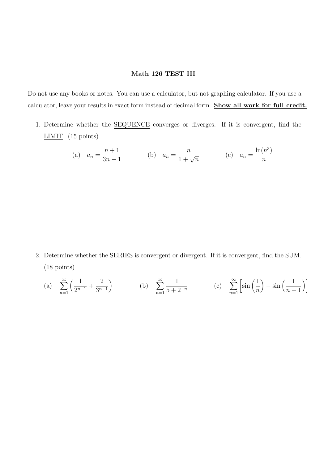## Math 126 TEST III

Do not use any books or notes. You can use a calculator, but not graphing calculator. If you use a calculator, leave your results in exact form instead of decimal form. Show all work for full credit.

1. Determine whether the SEQUENCE converges or diverges. If it is convergent, find the LIMIT. (15 points)

(a) 
$$
a_n = \frac{n+1}{3n-1}
$$
 (b)  $a_n = \frac{n}{1+\sqrt{n}}$  (c)  $a_n = \frac{\ln(n^3)}{n}$ 

2. Determine whether the SERIES is convergent or divergent. If it is convergent, find the SUM. (18 points)

(a) 
$$
\sum_{n=1}^{\infty} \left( \frac{1}{2^{n-1}} + \frac{2}{3^{n-1}} \right)
$$
 (b)  $\sum_{n=1}^{\infty} \frac{1}{5+2^{-n}}$  (c)  $\sum_{n=1}^{\infty} \left[ \sin \left( \frac{1}{n} \right) - \sin \left( \frac{1}{n+1} \right) \right]$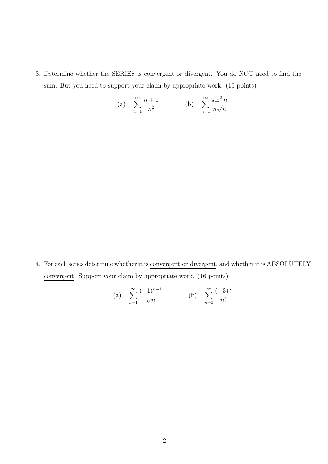3. Determine whether the SERIES is convergent or divergent. You do NOT need to find the sum. But you need to support your claim by appropriate work. (16 points)

(a) 
$$
\sum_{n=1}^{\infty} \frac{n+1}{n^2}
$$
 (b)  $\sum_{n=1}^{\infty} \frac{\sin^2 n}{n \sqrt{n}}$ 

4. For each series determine whether it is convergent or divergent, and whether it is ABSOLUTELY convergent. Support your claim by appropriate work. (16 points)

(a) 
$$
\sum_{n=1}^{\infty} \frac{(-1)^{n-1}}{\sqrt{n}}
$$
 (b)  $\sum_{n=0}^{\infty} \frac{(-3)^n}{n!}$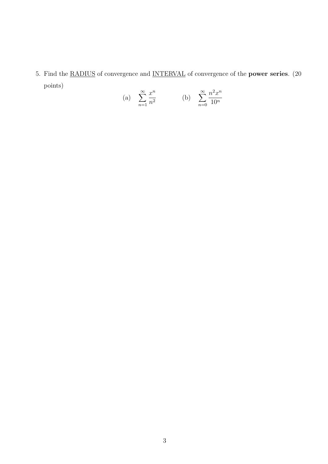5. Find the RADIUS of convergence and INTERVAL of convergence of the power series. (20 points)

(a) 
$$
\sum_{n=1}^{\infty} \frac{x^n}{n^2}
$$
 (b)  $\sum_{n=0}^{\infty} \frac{n^2 x^n}{10^n}$